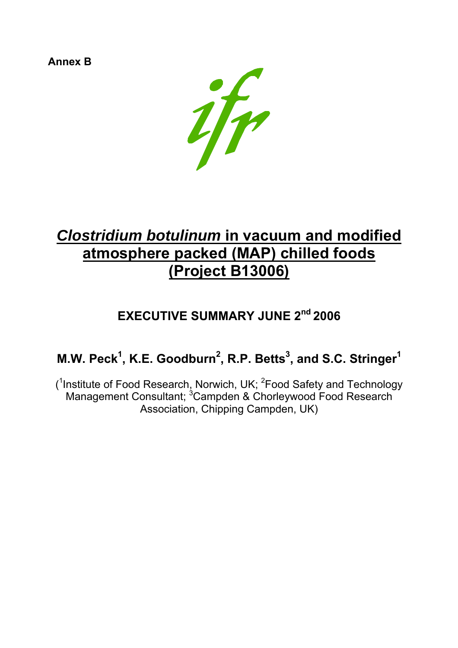**Annex B**



# *Clostridium botulinum* **in vacuum and modified atmosphere packed (MAP) chilled foods (Project B13006)**

## **EXECUTIVE SUMMARY JUNE 2nd 2006**

## **M.W. Peck<sup>1</sup>, K.E. Goodburn<sup>2</sup>, R.P. Betts<sup>3</sup>, and S.C. Stringer<sup>1</sup>**

 $(1)$ Institute of Food Research, Norwich, UK;  $2$ Food Safety and Technology Management Consultant; <sup>3</sup>Campden & Chorleywood Food Research Association, Chipping Campden, UK)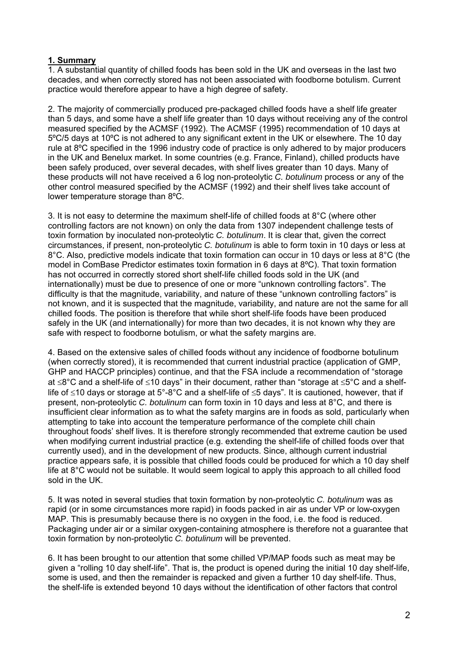#### **1. Summary**

1. A substantial quantity of chilled foods has been sold in the UK and overseas in the last two decades, and when correctly stored has not been associated with foodborne botulism. Current practice would therefore appear to have a high degree of safety.

2. The majority of commercially produced pre-packaged chilled foods have a shelf life greater than 5 days, and some have a shelf life greater than 10 days without receiving any of the control measured specified by the ACMSF (1992). The ACMSF (1995) recommendation of 10 days at 5ºC/5 days at 10ºC is not adhered to any significant extent in the UK or elsewhere. The 10 day rule at 8ºC specified in the 1996 industry code of practice is only adhered to by major producers in the UK and Benelux market. In some countries (e.g. France, Finland), chilled products have been safely produced, over several decades, with shelf lives greater than 10 days. Many of these products will not have received a 6 log non-proteolytic *C. botulinum* process or any of the other control measured specified by the ACMSF (1992) and their shelf lives take account of lower temperature storage than 8ºC.

3. It is not easy to determine the maximum shelf-life of chilled foods at 8°C (where other controlling factors are not known) on only the data from 1307 independent challenge tests of toxin formation by inoculated non-proteolytic *C. botulinum*. It is clear that, given the correct circumstances, if present, non-proteolytic *C. botulinum* is able to form toxin in 10 days or less at 8°C. Also, predictive models indicate that toxin formation can occur in 10 days or less at 8°C (the model in ComBase Predictor estimates toxin formation in 6 days at 8ºC). That toxin formation has not occurred in correctly stored short shelf-life chilled foods sold in the UK (and internationally) must be due to presence of one or more "unknown controlling factors". The difficulty is that the magnitude, variability, and nature of these "unknown controlling factors" is not known, and it is suspected that the magnitude, variability, and nature are not the same for all chilled foods. The position is therefore that while short shelf-life foods have been produced safely in the UK (and internationally) for more than two decades, it is not known why they are safe with respect to foodborne botulism, or what the safety margins are.

4. Based on the extensive sales of chilled foods without any incidence of foodborne botulinum (when correctly stored), it is recommended that current industrial practice (application of GMP, GHP and HACCP principles) continue, and that the FSA include a recommendation of "storage at ≤8°C and a shelf-life of ≤10 days" in their document, rather than "storage at ≤5°C and a shelflife of ≤10 days or storage at 5°-8°C and a shelf-life of ≤5 days". It is cautioned, however, that if present, non-proteolytic *C. botulinum* can form toxin in 10 days and less at 8°C, and there is insufficient clear information as to what the safety margins are in foods as sold, particularly when attempting to take into account the temperature performance of the complete chill chain throughout foods' shelf lives. It is therefore strongly recommended that extreme caution be used when modifying current industrial practice (e.g. extending the shelf-life of chilled foods over that currently used), and in the development of new products. Since, although current industrial practice appears safe, it is possible that chilled foods could be produced for which a 10 day shelf life at 8°C would not be suitable. It would seem logical to apply this approach to all chilled food sold in the UK.

5. It was noted in several studies that toxin formation by non-proteolytic *C. botulinum* was as rapid (or in some circumstances more rapid) in foods packed in air as under VP or low-oxygen MAP. This is presumably because there is no oxygen in the food, i.e. the food is reduced. Packaging under air or a similar oxygen-containing atmosphere is therefore not a guarantee that toxin formation by non-proteolytic *C. botulinum* will be prevented.

6. It has been brought to our attention that some chilled VP/MAP foods such as meat may be given a "rolling 10 day shelf-life". That is, the product is opened during the initial 10 day shelf-life, some is used, and then the remainder is repacked and given a further 10 day shelf-life. Thus, the shelf-life is extended beyond 10 days without the identification of other factors that control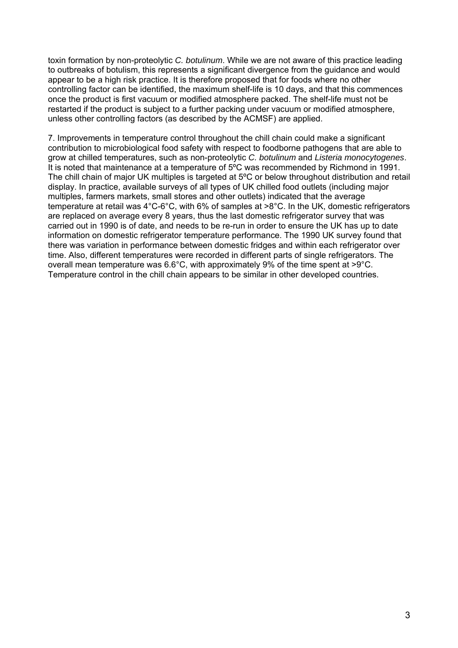toxin formation by non-proteolytic *C. botulinum*. While we are not aware of this practice leading to outbreaks of botulism, this represents a significant divergence from the guidance and would appear to be a high risk practice. It is therefore proposed that for foods where no other controlling factor can be identified, the maximum shelf-life is 10 days, and that this commences once the product is first vacuum or modified atmosphere packed. The shelf-life must not be restarted if the product is subject to a further packing under vacuum or modified atmosphere, unless other controlling factors (as described by the ACMSF) are applied.

7. Improvements in temperature control throughout the chill chain could make a significant contribution to microbiological food safety with respect to foodborne pathogens that are able to grow at chilled temperatures, such as non-proteolytic *C. botulinum* and *Listeria monocytogenes*. It is noted that maintenance at a temperature of 5ºC was recommended by Richmond in 1991. The chill chain of major UK multiples is targeted at 5ºC or below throughout distribution and retail display. In practice, available surveys of all types of UK chilled food outlets (including major multiples, farmers markets, small stores and other outlets) indicated that the average temperature at retail was 4°C-6°C, with 6% of samples at >8°C. In the UK, domestic refrigerators are replaced on average every 8 years, thus the last domestic refrigerator survey that was carried out in 1990 is of date, and needs to be re-run in order to ensure the UK has up to date information on domestic refrigerator temperature performance. The 1990 UK survey found that there was variation in performance between domestic fridges and within each refrigerator over time. Also, different temperatures were recorded in different parts of single refrigerators. The overall mean temperature was 6.6°C, with approximately 9% of the time spent at >9°C. Temperature control in the chill chain appears to be similar in other developed countries.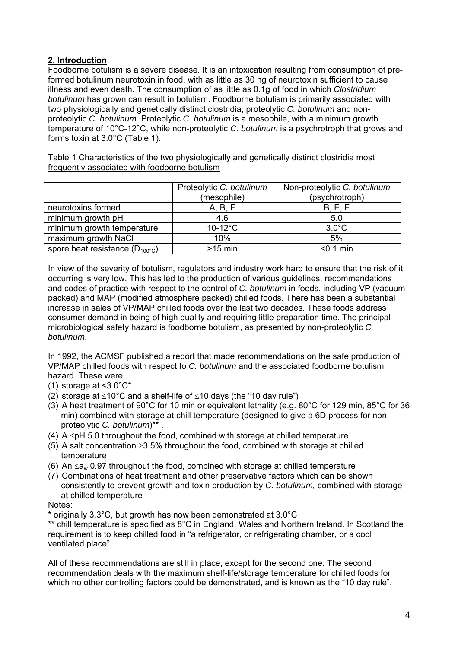## **2. Introduction**

Foodborne botulism is a severe disease. It is an intoxication resulting from consumption of preformed botulinum neurotoxin in food, with as little as 30 ng of neurotoxin sufficient to cause illness and even death. The consumption of as little as 0.1g of food in which *Clostridium botulinum* has grown can result in botulism. Foodborne botulism is primarily associated with two physiologically and genetically distinct clostridia, proteolytic *C. botulinum* and nonproteolytic *C. botulinum*. Proteolytic *C. botulinum* is a mesophile, with a minimum growth temperature of 10°C-12°C, while non-proteolytic *C. botulinum* is a psychrotroph that grows and forms toxin at 3.0°C (Table 1).

Table 1 Characteristics of the two physiologically and genetically distinct clostridia most frequently associated with foodborne botulism

|                                           | Proteolytic C. botulinum<br>(mesophile) | Non-proteolytic C. botulinum<br>(psychrotroph) |
|-------------------------------------------|-----------------------------------------|------------------------------------------------|
|                                           |                                         |                                                |
| neurotoxins formed                        | A, B, F                                 | B, E, F                                        |
| minimum growth pH                         | 4.6                                     | 5.0                                            |
| minimum growth temperature                | $10-12$ °C                              | $3.0^{\circ}$ C                                |
| maximum growth NaCl                       | 10%                                     | 5%                                             |
| spore heat resistance $(D_{100\degree}c)$ | $>15$ min                               | $0.1$ min                                      |

In view of the severity of botulism, regulators and industry work hard to ensure that the risk of it occurring is very low. This has led to the production of various guidelines, recommendations and codes of practice with respect to the control of *C. botulinum* in foods, including VP (vacuum packed) and MAP (modified atmosphere packed) chilled foods. There has been a substantial increase in sales of VP/MAP chilled foods over the last two decades. These foods address consumer demand in being of high quality and requiring little preparation time. The principal microbiological safety hazard is foodborne botulism, as presented by non-proteolytic *C. botulinum*.

In 1992, the ACMSF published a report that made recommendations on the safe production of VP/MAP chilled foods with respect to *C. botulinum* and the associated foodborne botulism hazard. These were:

(1) storage at <3.0°C\*

- (2) storage at  $\leq 10^{\circ}$ C and a shelf-life of  $\leq 10$  days (the "10 day rule")
- (3) A heat treatment of 90°C for 10 min or equivalent lethality (e.g. 80°C for 129 min, 85°C for 36 min) combined with storage at chill temperature (designed to give a 6D process for nonproteolytic *C. botulinum*)\*\* .
- (4) A ≤pH 5.0 throughout the food, combined with storage at chilled temperature
- (5) A salt concentration ≥3.5% throughout the food, combined with storage at chilled temperature
- (6) An  $\leq a_{w}$  0.97 throughout the food, combined with storage at chilled temperature
- (7) Combinations of heat treatment and other preservative factors which can be shown consistently to prevent growth and toxin production by *C. botulinum,* combined with storage at chilled temperature

Notes:

\* originally 3.3°C, but growth has now been demonstrated at 3.0°C

\*\* chill temperature is specified as 8°C in England, Wales and Northern Ireland. In Scotland the requirement is to keep chilled food in "a refrigerator, or refrigerating chamber, or a cool ventilated place".

All of these recommendations are still in place, except for the second one. The second recommendation deals with the maximum shelf-life/storage temperature for chilled foods for which no other controlling factors could be demonstrated, and is known as the "10 day rule".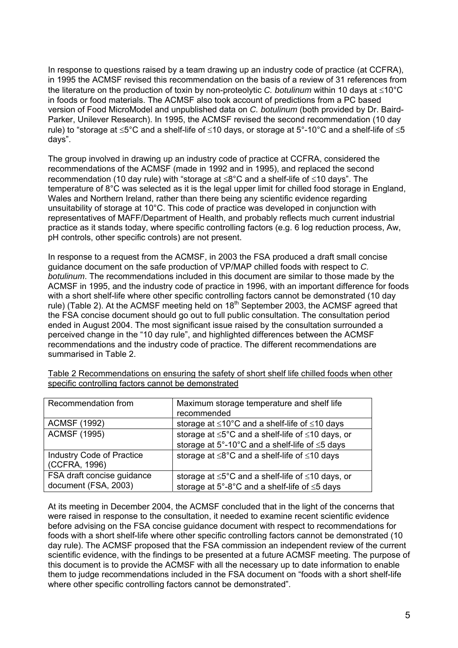In response to questions raised by a team drawing up an industry code of practice (at CCFRA), in 1995 the ACMSF revised this recommendation on the basis of a review of 31 references from the literature on the production of toxin by non-proteolytic *C. botulinum* within 10 days at ≤10°C in foods or food materials. The ACMSF also took account of predictions from a PC based version of Food MicroModel and unpublished data on *C. botulinum* (both provided by Dr. Baird-Parker, Unilever Research). In 1995, the ACMSF revised the second recommendation (10 day rule) to "storage at ≤5°C and a shelf-life of ≤10 days, or storage at 5°-10°C and a shelf-life of ≤5 days".

The group involved in drawing up an industry code of practice at CCFRA, considered the recommendations of the ACMSF (made in 1992 and in 1995), and replaced the second recommendation (10 day rule) with "storage at ≤8°C and a shelf-life of ≤10 days". The temperature of 8°C was selected as it is the legal upper limit for chilled food storage in England, Wales and Northern Ireland, rather than there being any scientific evidence regarding unsuitability of storage at 10°C. This code of practice was developed in conjunction with representatives of MAFF/Department of Health, and probably reflects much current industrial practice as it stands today, where specific controlling factors (e.g. 6 log reduction process, Aw, pH controls, other specific controls) are not present.

In response to a request from the ACMSF, in 2003 the FSA produced a draft small concise guidance document on the safe production of VP/MAP chilled foods with respect to *C. botulinum*. The recommendations included in this document are similar to those made by the ACMSF in 1995, and the industry code of practice in 1996, with an important difference for foods with a short shelf-life where other specific controlling factors cannot be demonstrated (10 day rule) (Table 2). At the ACMSF meeting held on 18<sup>th</sup> September 2003, the ACMSF agreed that the FSA concise document should go out to full public consultation. The consultation period ended in August 2004. The most significant issue raised by the consultation surrounded a perceived change in the "10 day rule", and highlighted differences between the ACMSF recommendations and the industry code of practice. The different recommendations are summarised in Table 2.

| Recommendation from                                | Maximum storage temperature and shelf life<br>recommended                                                              |
|----------------------------------------------------|------------------------------------------------------------------------------------------------------------------------|
| <b>ACMSF (1992)</b>                                | storage at $\leq 10^{\circ}$ C and a shelf-life of $\leq 10$ days                                                      |
| <b>ACMSF (1995)</b>                                | storage at $\leq 5^{\circ}$ C and a shelf-life of $\leq 10$ days, or<br>storage at 5°-10°C and a shelf-life of ≤5 days |
| <b>Industry Code of Practice</b><br>(CCFRA, 1996)  | storage at $\leq 8^{\circ}$ C and a shelf-life of $\leq 10$ days                                                       |
| FSA draft concise guidance<br>document (FSA, 2003) | storage at $\leq 5^{\circ}$ C and a shelf-life of $\leq 10$ days, or<br>storage at 5°-8°C and a shelf-life of ≤5 days  |

Table 2 Recommendations on ensuring the safety of short shelf life chilled foods when other specific controlling factors cannot be demonstrated

At its meeting in December 2004, the ACMSF concluded that in the light of the concerns that were raised in response to the consultation, it needed to examine recent scientific evidence before advising on the FSA concise guidance document with respect to recommendations for foods with a short shelf-life where other specific controlling factors cannot be demonstrated (10 day rule). The ACMSF proposed that the FSA commission an independent review of the current scientific evidence, with the findings to be presented at a future ACMSF meeting. The purpose of this document is to provide the ACMSF with all the necessary up to date information to enable them to judge recommendations included in the FSA document on "foods with a short shelf-life where other specific controlling factors cannot be demonstrated".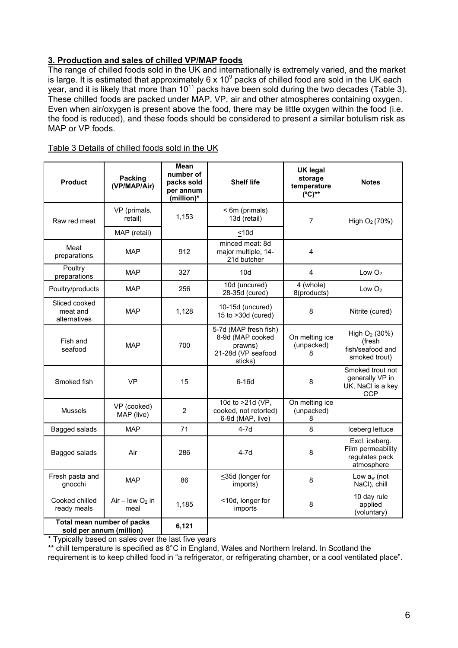## **3. Production and sales of chilled VP/MAP foods**

The range of chilled foods sold in the UK and internationally is extremely varied, and the market is large. It is estimated that approximately 6 x 10<sup>9</sup> packs of chilled food are sold in the UK each year, and it is likely that more than  $10^{11}$  packs have been sold during the two decades (Table 3). These chilled foods are packed under MAP, VP, air and other atmospheres containing oxygen. Even when air/oxygen is present above the food, there may be little oxygen within the food (i.e. the food is reduced), and these foods should be considered to present a similar botulism risk as MAP or VP foods.

| Table 3 Details of chilled foods sold in the UK |  |  |  |
|-------------------------------------------------|--|--|--|
|                                                 |  |  |  |

| <b>Product</b>                                         | <b>Packing</b><br>(VP/MAP/Air) | <b>Mean</b><br>number of<br>packs sold<br>per annum<br>(million)* | <b>Shelf life</b>                                                                     | <b>UK legal</b><br>storage<br>temperature<br>$(^{\circ}C)^{**}$ | <b>Notes</b>                                                        |
|--------------------------------------------------------|--------------------------------|-------------------------------------------------------------------|---------------------------------------------------------------------------------------|-----------------------------------------------------------------|---------------------------------------------------------------------|
| Raw red meat                                           | VP (primals,<br>retail)        | 1,153                                                             | < 6m (primals)<br>13d (retail)                                                        | $\overline{7}$                                                  | High $O_2(70%)$                                                     |
|                                                        | MAP (retail)                   |                                                                   | $<$ 10d                                                                               |                                                                 |                                                                     |
| Meat<br>preparations                                   | <b>MAP</b>                     | 912                                                               | minced meat: 8d<br>major multiple, 14-<br>21d butcher                                 | 4                                                               |                                                                     |
| Poultry<br>preparations                                | <b>MAP</b>                     | 327                                                               | 10d                                                                                   | 4                                                               | Low $O2$                                                            |
| Poultry/products                                       | <b>MAP</b>                     | 256                                                               | 10d (uncured)<br>28-35d (cured)                                                       | 4 (whole)<br>8(products)                                        | Low $O2$                                                            |
| Sliced cooked<br>meat and<br>alternatives              | <b>MAP</b>                     | 1,128                                                             | 10-15d (uncured)<br>15 to >30d (cured)                                                | 8                                                               | Nitrite (cured)                                                     |
| Fish and<br>seafood                                    | <b>MAP</b>                     | 700                                                               | 5-7d (MAP fresh fish)<br>8-9d (MAP cooked<br>prawns)<br>21-28d (VP seafood<br>sticks) | On melting ice<br>(unpacked)<br>8                               | High $O_2$ (30%)<br>(fresh<br>fish/seafood and<br>smoked trout)     |
| Smoked fish                                            | <b>VP</b>                      | 15                                                                | $6-16d$                                                                               | 8                                                               | Smoked trout not<br>generally VP in<br>UK, NaCl is a key<br>CCP     |
| <b>Mussels</b>                                         | VP (cooked)<br>MAP (live)      | $\overline{2}$                                                    | 10d to >21d (VP,<br>cooked, not retorted)<br>6-9d (MAP, live)                         | On melting ice<br>(unpacked)<br>8                               |                                                                     |
| Bagged salads                                          | <b>MAP</b>                     | 71                                                                | $4-7d$                                                                                | 8                                                               | Iceberg lettuce                                                     |
| Bagged salads                                          | Air                            | 286                                                               | $4-7d$                                                                                | 8                                                               | Excl. iceberg.<br>Film permeability<br>regulates pack<br>atmosphere |
| Fresh pasta and<br>gnocchi                             | <b>MAP</b>                     | 86                                                                | ≤35d (longer for<br>imports)                                                          | 8                                                               | Low $a_w$ (not<br>NaCl), chill                                      |
| Cooked chilled<br>ready meals                          | Air - low $O_2$ in<br>meal     | 1,185                                                             | <10d, longer for<br>8<br>imports                                                      |                                                                 | 10 day rule<br>applied<br>(voluntary)                               |
| Total mean number of packs<br>sold per annum (million) |                                | 6,121                                                             |                                                                                       |                                                                 |                                                                     |

\* Typically based on sales over the last five years

\*\* chill temperature is specified as 8°C in England, Wales and Northern Ireland. In Scotland the

requirement is to keep chilled food in "a refrigerator, or refrigerating chamber, or a cool ventilated place".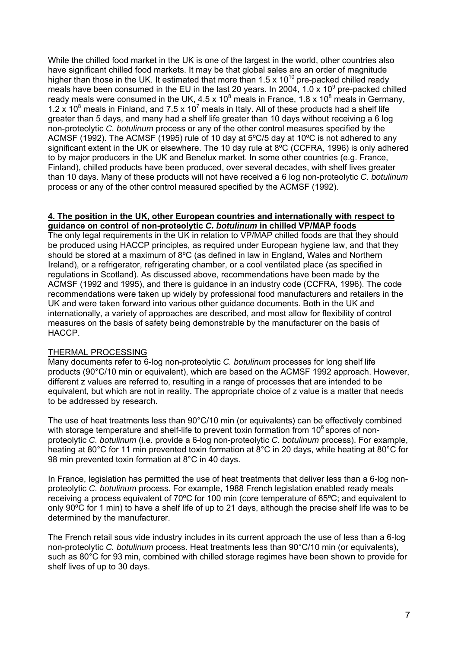While the chilled food market in the UK is one of the largest in the world, other countries also have significant chilled food markets. It may be that global sales are an order of magnitude higher than those in the UK. It estimated that more than 1.5 x  $10^{10}$  pre-packed chilled ready meals have been consumed in the EU in the last 20 years. In 2004, 1.0 x 10<sup>9</sup> pre-packed chilled ready meals were consumed in the UK, 4.5 x 10<sup>8</sup> meals in France, 1.8 x 10<sup>8</sup> meals in Germany, 1.2 x 10<sup>8</sup> meals in Finland, and 7.5 x 10<sup>7</sup> meals in Italy. All of these products had a shelf life greater than 5 days, and many had a shelf life greater than 10 days without receiving a 6 log non-proteolytic *C. botulinum* process or any of the other control measures specified by the ACMSF (1992). The ACMSF (1995) rule of 10 day at 5ºC/5 day at 10ºC is not adhered to any significant extent in the UK or elsewhere. The 10 day rule at 8ºC (CCFRA, 1996) is only adhered to by major producers in the UK and Benelux market. In some other countries (e.g. France, Finland), chilled products have been produced, over several decades, with shelf lives greater than 10 days. Many of these products will not have received a 6 log non-proteolytic *C. botulinum* process or any of the other control measured specified by the ACMSF (1992).

#### **4. The position in the UK, other European countries and internationally with respect to guidance on control of non-proteolytic** *C. botulinum* **in chilled VP/MAP foods**

The only legal requirements in the UK in relation to VP/MAP chilled foods are that they should be produced using HACCP principles, as required under European hygiene law, and that they should be stored at a maximum of 8ºC (as defined in law in England, Wales and Northern Ireland), or a refrigerator, refrigerating chamber, or a cool ventilated place (as specified in regulations in Scotland). As discussed above, recommendations have been made by the ACMSF (1992 and 1995), and there is guidance in an industry code (CCFRA, 1996). The code recommendations were taken up widely by professional food manufacturers and retailers in the UK and were taken forward into various other guidance documents. Both in the UK and internationally, a variety of approaches are described, and most allow for flexibility of control measures on the basis of safety being demonstrable by the manufacturer on the basis of HACCP.

#### THERMAL PROCESSING

Many documents refer to 6-log non-proteolytic *C. botulinum* processes for long shelf life products (90°C/10 min or equivalent), which are based on the ACMSF 1992 approach. However, different z values are referred to, resulting in a range of processes that are intended to be equivalent, but which are not in reality. The appropriate choice of z value is a matter that needs to be addressed by research.

The use of heat treatments less than 90°C/10 min (or equivalents) can be effectively combined with storage temperature and shelf-life to prevent toxin formation from 10<sup>6</sup> spores of nonproteolytic *C. botulinum* (i.e. provide a 6-log non-proteolytic *C. botulinum* process). For example, heating at 80°C for 11 min prevented toxin formation at 8°C in 20 days, while heating at 80°C for 98 min prevented toxin formation at 8°C in 40 days.

In France, legislation has permitted the use of heat treatments that deliver less than a 6-log nonproteolytic *C. botulinum* process. For example, 1988 French legislation enabled ready meals receiving a process equivalent of 70ºC for 100 min (core temperature of 65ºC; and equivalent to only 90ºC for 1 min) to have a shelf life of up to 21 days, although the precise shelf life was to be determined by the manufacturer.

The French retail sous vide industry includes in its current approach the use of less than a 6-log non-proteolytic *C. botulinum* process. Heat treatments less than 90°C/10 min (or equivalents), such as 80°C for 93 min, combined with chilled storage regimes have been shown to provide for shelf lives of up to 30 days.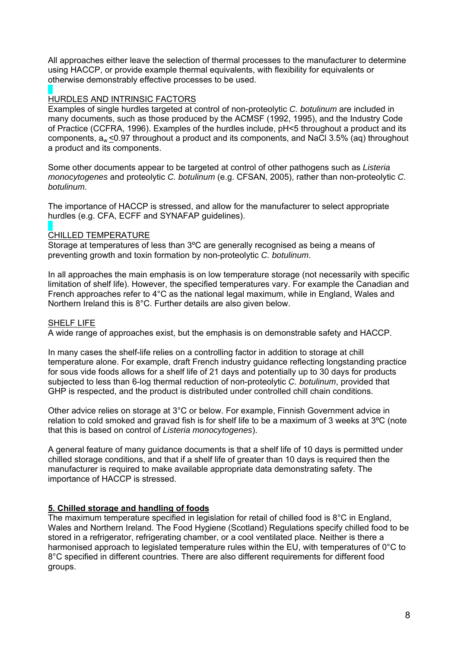All approaches either leave the selection of thermal processes to the manufacturer to determine using HACCP, or provide example thermal equivalents, with flexibility for equivalents or otherwise demonstrably effective processes to be used.

#### HURDLES AND INTRINSIC FACTORS

Examples of single hurdles targeted at control of non-proteolytic *C. botulinum* are included in many documents, such as those produced by the ACMSF (1992, 1995), and the Industry Code of Practice (CCFRA, 1996). Examples of the hurdles include, pH<5 throughout a product and its components, aw <0.97 throughout a product and its components, and NaCl 3.5% (aq) throughout a product and its components.

Some other documents appear to be targeted at control of other pathogens such as *Listeria monocytogenes* and proteolytic *C. botulinum* (e.g. CFSAN, 2005), rather than non-proteolytic *C. botulinum*.

The importance of HACCP is stressed, and allow for the manufacturer to select appropriate hurdles (e.g. CFA, ECFF and SYNAFAP guidelines).

#### CHILLED TEMPERATURE

Storage at temperatures of less than 3ºC are generally recognised as being a means of preventing growth and toxin formation by non-proteolytic *C. botulinum*.

In all approaches the main emphasis is on low temperature storage (not necessarily with specific limitation of shelf life). However, the specified temperatures vary. For example the Canadian and French approaches refer to 4°C as the national legal maximum, while in England, Wales and Northern Ireland this is 8°C. Further details are also given below.

#### SHELF LIFE

A wide range of approaches exist, but the emphasis is on demonstrable safety and HACCP.

In many cases the shelf-life relies on a controlling factor in addition to storage at chill temperature alone. For example, draft French industry guidance reflecting longstanding practice for sous vide foods allows for a shelf life of 21 days and potentially up to 30 days for products subjected to less than 6-log thermal reduction of non-proteolytic *C. botulinum*, provided that GHP is respected, and the product is distributed under controlled chill chain conditions.

Other advice relies on storage at 3°C or below. For example, Finnish Government advice in relation to cold smoked and gravad fish is for shelf life to be a maximum of 3 weeks at 3ºC (note that this is based on control of *Listeria monocytogenes*).

A general feature of many guidance documents is that a shelf life of 10 days is permitted under chilled storage conditions, and that if a shelf life of greater than 10 days is required then the manufacturer is required to make available appropriate data demonstrating safety. The importance of HACCP is stressed.

#### **5. Chilled storage and handling of foods**

The maximum temperature specified in legislation for retail of chilled food is 8°C in England, Wales and Northern Ireland. The Food Hygiene (Scotland) Regulations specify chilled food to be stored in a refrigerator, refrigerating chamber, or a cool ventilated place. Neither is there a harmonised approach to legislated temperature rules within the EU, with temperatures of  $0^{\circ}$ C to 8°C specified in different countries. There are also different requirements for different food groups.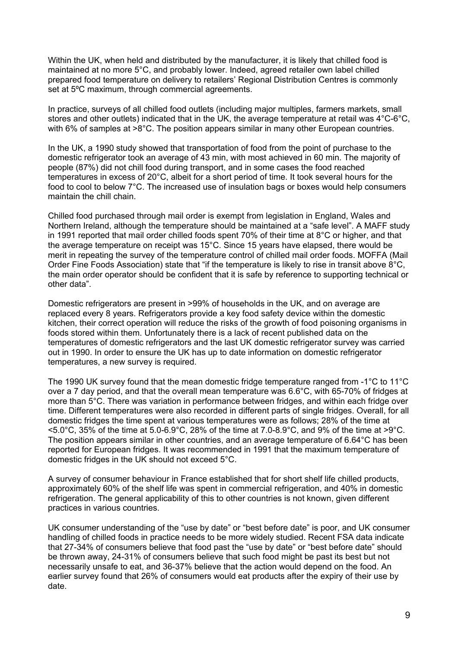Within the UK, when held and distributed by the manufacturer, it is likely that chilled food is maintained at no more 5°C, and probably lower. Indeed, agreed retailer own label chilled prepared food temperature on delivery to retailers' Regional Distribution Centres is commonly set at 5ºC maximum, through commercial agreements.

In practice, surveys of all chilled food outlets (including major multiples, farmers markets, small stores and other outlets) indicated that in the UK, the average temperature at retail was 4°C-6°C, with 6% of samples at >8°C. The position appears similar in many other European countries.

In the UK, a 1990 study showed that transportation of food from the point of purchase to the domestic refrigerator took an average of 43 min, with most achieved in 60 min. The majority of people (87%) did not chill food during transport, and in some cases the food reached temperatures in excess of 20°C, albeit for a short period of time. It took several hours for the food to cool to below 7°C. The increased use of insulation bags or boxes would help consumers maintain the chill chain.

Chilled food purchased through mail order is exempt from legislation in England, Wales and Northern Ireland, although the temperature should be maintained at a "safe level". A MAFF study in 1991 reported that mail order chilled foods spent 70% of their time at 8°C or higher, and that the average temperature on receipt was 15°C. Since 15 years have elapsed, there would be merit in repeating the survey of the temperature control of chilled mail order foods. MOFFA (Mail Order Fine Foods Association) state that "if the temperature is likely to rise in transit above 8°C, the main order operator should be confident that it is safe by reference to supporting technical or other data".

Domestic refrigerators are present in >99% of households in the UK, and on average are replaced every 8 years. Refrigerators provide a key food safety device within the domestic kitchen, their correct operation will reduce the risks of the growth of food poisoning organisms in foods stored within them. Unfortunately there is a lack of recent published data on the temperatures of domestic refrigerators and the last UK domestic refrigerator survey was carried out in 1990. In order to ensure the UK has up to date information on domestic refrigerator temperatures, a new survey is required.

The 1990 UK survey found that the mean domestic fridge temperature ranged from -1°C to 11°C over a 7 day period, and that the overall mean temperature was 6.6°C, with 65-70% of fridges at more than 5°C. There was variation in performance between fridges, and within each fridge over time. Different temperatures were also recorded in different parts of single fridges. Overall, for all domestic fridges the time spent at various temperatures were as follows; 28% of the time at  $5.0^{\circ}$ C, 35% of the time at 5.0-6.9°C, 28% of the time at 7.0-8.9°C, and 9% of the time at >9°C. The position appears similar in other countries, and an average temperature of 6.64°C has been reported for European fridges. It was recommended in 1991 that the maximum temperature of domestic fridges in the UK should not exceed 5°C.

A survey of consumer behaviour in France established that for short shelf life chilled products, approximately 60% of the shelf life was spent in commercial refrigeration, and 40% in domestic refrigeration. The general applicability of this to other countries is not known, given different practices in various countries.

UK consumer understanding of the "use by date" or "best before date" is poor, and UK consumer handling of chilled foods in practice needs to be more widely studied. Recent FSA data indicate that 27-34% of consumers believe that food past the "use by date" or "best before date" should be thrown away, 24-31% of consumers believe that such food might be past its best but not necessarily unsafe to eat, and 36-37% believe that the action would depend on the food. An earlier survey found that 26% of consumers would eat products after the expiry of their use by date.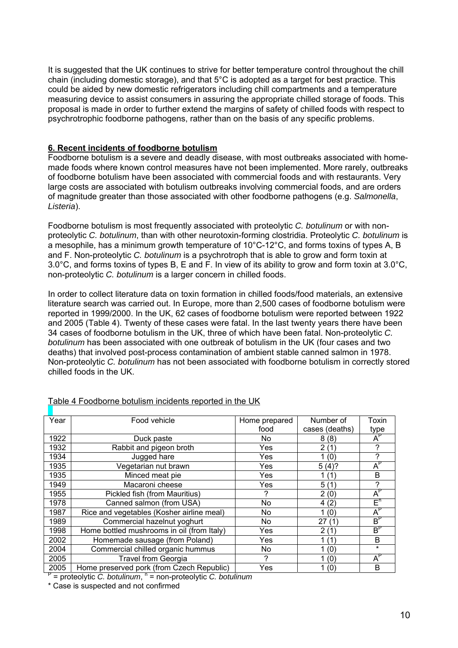It is suggested that the UK continues to strive for better temperature control throughout the chill chain (including domestic storage), and that 5°C is adopted as a target for best practice. This could be aided by new domestic refrigerators including chill compartments and a temperature measuring device to assist consumers in assuring the appropriate chilled storage of foods. This proposal is made in order to further extend the margins of safety of chilled foods with respect to psychrotrophic foodborne pathogens, rather than on the basis of any specific problems.

#### **6. Recent incidents of foodborne botulism**

Foodborne botulism is a severe and deadly disease, with most outbreaks associated with homemade foods where known control measures have not been implemented. More rarely, outbreaks of foodborne botulism have been associated with commercial foods and with restaurants. Very large costs are associated with botulism outbreaks involving commercial foods, and are orders of magnitude greater than those associated with other foodborne pathogens (e.g. *Salmonella*, *Listeria*).

Foodborne botulism is most frequently associated with proteolytic *C. botulinum* or with nonproteolytic *C. botulinum*, than with other neurotoxin-forming clostridia. Proteolytic *C. botulinum* is a mesophile, has a minimum growth temperature of 10°C-12°C, and forms toxins of types A, B and F. Non-proteolytic *C. botulinum* is a psychrotroph that is able to grow and form toxin at 3.0°C, and forms toxins of types B, E and F. In view of its ability to grow and form toxin at 3.0°C, non-proteolytic *C. botulinum* is a larger concern in chilled foods.

In order to collect literature data on toxin formation in chilled foods/food materials, an extensive literature search was carried out. In Europe, more than 2,500 cases of foodborne botulism were reported in 1999/2000. In the UK, 62 cases of foodborne botulism were reported between 1922 and 2005 (Table 4). Twenty of these cases were fatal. In the last twenty years there have been 34 cases of foodborne botulism in the UK, three of which have been fatal. Non-proteolytic *C. botulinum* has been associated with one outbreak of botulism in the UK (four cases and two deaths) that involved post-process contamination of ambient stable canned salmon in 1978. Non-proteolytic *C. botulinum* has not been associated with foodborne botulism in correctly stored chilled foods in the UK.

| Year | Food vehicle                               | Home prepared | Number of      | Toxin          |
|------|--------------------------------------------|---------------|----------------|----------------|
|      |                                            | food          | cases (deaths) | type           |
| 1922 | Duck paste                                 | No            | 8(8)           | $A^{\nu}$      |
| 1932 | Rabbit and pigeon broth                    | Yes           | 2(1)           | ?              |
| 1934 | Jugged hare                                | Yes           | 1(0)           | ?              |
| 1935 | Vegetarian nut brawn                       | Yes           | 5(4)?          | $A^r$          |
| 1935 | Minced meat pie                            | Yes           | 1 (1)          | B              |
| 1949 | Macaroni cheese                            | Yes           | 5(1)           | ?              |
| 1955 | Pickled fish (from Mauritius)              | 7             | 2(0)           | $A^P$          |
| 1978 | Canned salmon (from USA)                   | No.           | 4(2)           | E <sub>u</sub> |
| 1987 | Rice and vegetables (Kosher airline meal)  | No.           | 1(0)           | $A^{\vdash}$   |
| 1989 | Commercial hazelnut yoghurt                | No.           | 27<br>(1)      | $B_{h}$        |
| 1998 | Home bottled mushrooms in oil (from Italy) | Yes           | 2(1)           | $B_{h}$        |
| 2002 | Homemade sausage (from Poland)             | Yes           | 1 (1)          | B              |
| 2004 | Commercial chilled organic hummus          | No            | 1(0)           | $\star$        |
| 2005 | Travel from Georgia                        | 2             | 1(0)           | $A^F$          |
| 2005 | Home preserved pork (from Czech Republic)  | Yes           | 1(0)           | B              |

#### Table 4 Foodborne botulism incidents reported in the UK

<sup>P</sup> = proteolytic *C. botulinum*, <sup>n</sup> = non-proteolytic *C. botulinum* 

\* Case is suspected and not confirmed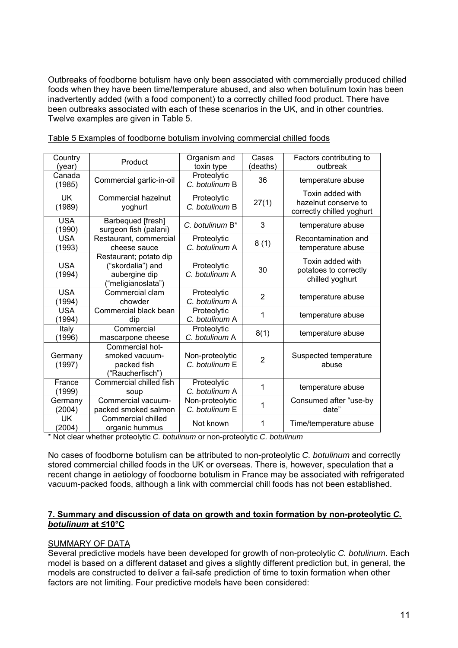Outbreaks of foodborne botulism have only been associated with commercially produced chilled foods when they have been time/temperature abused, and also when botulinum toxin has been inadvertently added (with a food component) to a correctly chilled food product. There have been outbreaks associated with each of these scenarios in the UK, and in other countries. Twelve examples are given in Table 5.

| Country<br>(year)    | Product                                                                            | Organism and<br>toxin type        | Cases<br>(deaths) | Factors contributing to<br>outbreak                                   |
|----------------------|------------------------------------------------------------------------------------|-----------------------------------|-------------------|-----------------------------------------------------------------------|
| Canada<br>(1985)     | Commercial garlic-in-oil                                                           | Proteolytic<br>C. botulinum B     | 36                | temperature abuse                                                     |
| <b>UK</b><br>(1989)  | Commercial hazelnut<br>yoghurt                                                     | Proteolytic<br>C. botulinum B     | 27(1)             | Toxin added with<br>hazelnut conserve to<br>correctly chilled yoghurt |
| <b>USA</b><br>(1990) | Barbequed [fresh]<br>surgeon fish (palani)                                         | C. botulinum B*                   | 3                 | temperature abuse                                                     |
| <b>USA</b><br>(1993) | Restaurant, commercial<br>cheese sauce                                             | Proteolytic<br>C. botulinum A     | 8(1)              | Recontamination and<br>temperature abuse                              |
| <b>USA</b><br>(1994) | Restaurant; potato dip<br>("skordalia") and<br>aubergine dip<br>("meligianoslata") | Proteolytic<br>C. botulinum A     | 30                | Toxin added with<br>potatoes to correctly<br>chilled yoghurt          |
| <b>USA</b><br>(1994) | Commercial clam<br>chowder                                                         | Proteolytic<br>C. botulinum A     | $\overline{2}$    | temperature abuse                                                     |
| <b>USA</b><br>(1994) | Commercial black bean<br>dip                                                       | Proteolytic<br>C. botulinum A     | 1                 | temperature abuse                                                     |
| Italy<br>(1996)      | Commercial<br>mascarpone cheese                                                    | Proteolytic<br>C. botulinum A     | 8(1)              | temperature abuse                                                     |
| Germany<br>(1997)    | Commercial hot-<br>smoked vacuum-<br>packed fish<br>("Raucherfisch")               | Non-proteolytic<br>C. botulinum E | $\overline{2}$    | Suspected temperature<br>abuse                                        |
| France<br>(1999)     | Commercial chilled fish<br>soup                                                    | Proteolytic<br>C. botulinum A     | 1                 | temperature abuse                                                     |
| Germany<br>(2004)    | Commercial vacuum-<br>packed smoked salmon                                         | Non-proteolytic<br>C. botulinum E | 1                 | Consumed after "use-by<br>date"                                       |
| <b>UK</b><br>(2004)  | Commercial chilled<br>organic hummus                                               | Not known                         | 1                 | Time/temperature abuse                                                |

Table 5 Examples of foodborne botulism involving commercial chilled foods

\* Not clear whether proteolytic *C. botulinum* or non-proteolytic *C. botulinum*

No cases of foodborne botulism can be attributed to non-proteolytic *C. botulinum* and correctly stored commercial chilled foods in the UK or overseas. There is, however, speculation that a recent change in aetiology of foodborne botulism in France may be associated with refrigerated vacuum-packed foods, although a link with commercial chill foods has not been established.

#### **7. Summary and discussion of data on growth and toxin formation by non-proteolytic** *C. botulinum* **at ≤10°C**

### SUMMARY OF DATA

Several predictive models have been developed for growth of non-proteolytic *C. botulinum*. Each model is based on a different dataset and gives a slightly different prediction but, in general, the models are constructed to deliver a fail-safe prediction of time to toxin formation when other factors are not limiting. Four predictive models have been considered: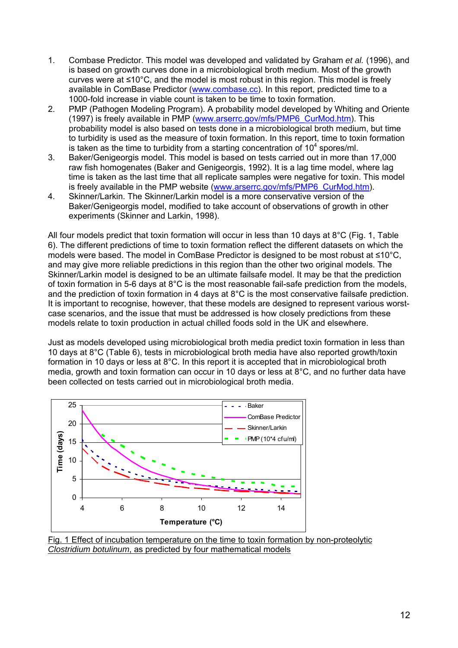- 1. Combase Predictor. This model was developed and validated by Graham *et al.* (1996), and is based on growth curves done in a microbiological broth medium. Most of the growth curves were at ≤10°C, and the model is most robust in this region. This model is freely available in ComBase Predictor (www.combase.cc). In this report, predicted time to a 1000-fold increase in viable count is taken to be time to toxin formation.
- 2. PMP (Pathogen Modeling Program). A probability model developed by Whiting and Oriente (1997) is freely available in PMP (www.arserrc.gov/mfs/PMP6\_CurMod.htm). This probability model is also based on tests done in a microbiological broth medium, but time to turbidity is used as the measure of toxin formation. In this report, time to toxin formation is taken as the time to turbidity from a starting concentration of  $10^4$  spores/ml.
- 3. Baker/Genigeorgis model. This model is based on tests carried out in more than 17,000 raw fish homogenates (Baker and Genigeorgis, 1992). It is a lag time model, where lag time is taken as the last time that all replicate samples were negative for toxin. This model is freely available in the PMP website (www.arserrc.gov/mfs/PMP6\_CurMod.htm).
- 4. Skinner/Larkin. The Skinner/Larkin model is a more conservative version of the Baker/Genigeorgis model, modified to take account of observations of growth in other experiments (Skinner and Larkin, 1998).

All four models predict that toxin formation will occur in less than 10 days at 8°C (Fig. 1, Table 6). The different predictions of time to toxin formation reflect the different datasets on which the models were based. The model in ComBase Predictor is designed to be most robust at ≤10°C, and may give more reliable predictions in this region than the other two original models. The Skinner/Larkin model is designed to be an ultimate failsafe model. It may be that the prediction of toxin formation in 5-6 days at 8°C is the most reasonable fail-safe prediction from the models, and the prediction of toxin formation in 4 days at 8°C is the most conservative failsafe prediction. It is important to recognise, however, that these models are designed to represent various worstcase scenarios, and the issue that must be addressed is how closely predictions from these models relate to toxin production in actual chilled foods sold in the UK and elsewhere.

Just as models developed using microbiological broth media predict toxin formation in less than 10 days at 8°C (Table 6), tests in microbiological broth media have also reported growth/toxin formation in 10 days or less at 8°C. In this report it is accepted that in microbiological broth media, growth and toxin formation can occur in 10 days or less at 8°C, and no further data have been collected on tests carried out in microbiological broth media.



Fig. 1 Effect of incubation temperature on the time to toxin formation by non-proteolytic *Clostridium botulinum*, as predicted by four mathematical models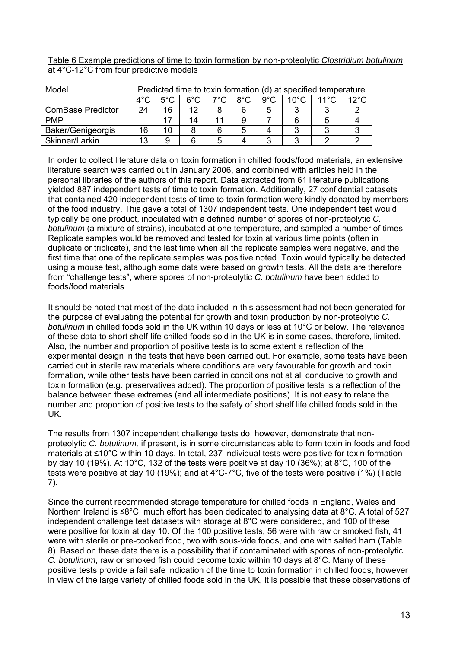Table 6 Example predictions of time to toxin formation by non-proteolytic *Clostridium botulinum* at 4°C-12°C from four predictive models

| Model                    |               | Predicted time to toxin formation (d) at specified temperature |               |               |               |               |       |                |      |
|--------------------------|---------------|----------------------------------------------------------------|---------------|---------------|---------------|---------------|-------|----------------|------|
|                          | $4^{\circ}$ C | $5^{\circ}$ C                                                  | $6^{\circ}$ C | $7^{\circ}$ C | $8^{\circ}$ C | $9^{\circ}$ C | 10°C. | $11^{\circ}$ C | 12°C |
| <b>ComBase Predictor</b> | 24            | 16                                                             | 12            | 8             | 6             | 5             |       |                |      |
| <b>PMP</b>               | --            |                                                                | 14            | 11            | 9             |               |       |                |      |
| <b>Baker/Genigeorgis</b> | 16            | 10                                                             | 8             | 6             | 5             |               |       |                |      |
| Skinner/Larkin           | 13            | 9                                                              | 6             | 5             |               | ◠             |       |                |      |

In order to collect literature data on toxin formation in chilled foods/food materials, an extensive literature search was carried out in January 2006, and combined with articles held in the personal libraries of the authors of this report. Data extracted from 61 literature publications yielded 887 independent tests of time to toxin formation. Additionally, 27 confidential datasets that contained 420 independent tests of time to toxin formation were kindly donated by members of the food industry. This gave a total of 1307 independent tests. One independent test would typically be one product, inoculated with a defined number of spores of non-proteolytic *C. botulinum* (a mixture of strains), incubated at one temperature, and sampled a number of times. Replicate samples would be removed and tested for toxin at various time points (often in duplicate or triplicate), and the last time when all the replicate samples were negative, and the first time that one of the replicate samples was positive noted. Toxin would typically be detected using a mouse test, although some data were based on growth tests. All the data are therefore from "challenge tests", where spores of non-proteolytic *C. botulinum* have been added to foods/food materials.

It should be noted that most of the data included in this assessment had not been generated for the purpose of evaluating the potential for growth and toxin production by non-proteolytic *C. botulinum* in chilled foods sold in the UK within 10 days or less at 10°C or below. The relevance of these data to short shelf-life chilled foods sold in the UK is in some cases, therefore, limited. Also, the number and proportion of positive tests is to some extent a reflection of the experimental design in the tests that have been carried out. For example, some tests have been carried out in sterile raw materials where conditions are very favourable for growth and toxin formation, while other tests have been carried in conditions not at all conducive to growth and toxin formation (e.g. preservatives added). The proportion of positive tests is a reflection of the balance between these extremes (and all intermediate positions). It is not easy to relate the number and proportion of positive tests to the safety of short shelf life chilled foods sold in the UK.

The results from 1307 independent challenge tests do, however, demonstrate that nonproteolytic *C. botulinum,* if present, is in some circumstances able to form toxin in foods and food materials at ≤10°C within 10 days. In total, 237 individual tests were positive for toxin formation by day 10 (19%). At 10°C, 132 of the tests were positive at day 10 (36%); at 8°C, 100 of the tests were positive at day 10 (19%); and at 4°C-7°C, five of the tests were positive (1%) (Table 7).

Since the current recommended storage temperature for chilled foods in England, Wales and Northern Ireland is ≤8°C, much effort has been dedicated to analysing data at 8°C. A total of 527 independent challenge test datasets with storage at 8°C were considered, and 100 of these were positive for toxin at day 10. Of the 100 positive tests, 56 were with raw or smoked fish, 41 were with sterile or pre-cooked food, two with sous-vide foods, and one with salted ham (Table 8). Based on these data there is a possibility that if contaminated with spores of non-proteolytic *C. botulinum*, raw or smoked fish could become toxic within 10 days at 8°C. Many of these positive tests provide a fail safe indication of the time to toxin formation in chilled foods, however in view of the large variety of chilled foods sold in the UK, it is possible that these observations of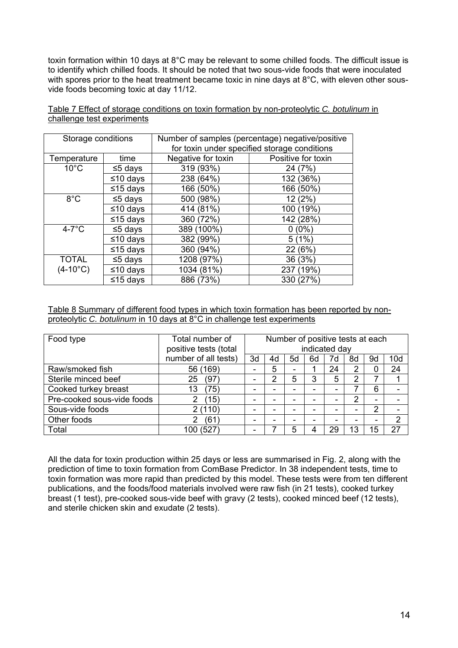toxin formation within 10 days at 8°C may be relevant to some chilled foods. The difficult issue is to identify which chilled foods. It should be noted that two sous-vide foods that were inoculated with spores prior to the heat treatment became toxic in nine days at 8°C, with eleven other sousvide foods becoming toxic at day 11/12.

| Storage conditions |               | Number of samples (percentage) negative/positive |                                              |  |  |  |  |
|--------------------|---------------|--------------------------------------------------|----------------------------------------------|--|--|--|--|
|                    |               |                                                  | for toxin under specified storage conditions |  |  |  |  |
| Temperature        | time          | Negative for toxin                               | Positive for toxin                           |  |  |  |  |
| $10^{\circ}$ C     | $\leq$ 5 days | 319 (93%)                                        | 24 (7%)                                      |  |  |  |  |
|                    | ≤10 days      | 238 (64%)                                        | 132 (36%)                                    |  |  |  |  |
|                    | ≤15 days      | 166 (50%)                                        | 166 (50%)                                    |  |  |  |  |
| $8^{\circ}$ C      | $\leq$ 5 days | 500 (98%)                                        | 12(2%)                                       |  |  |  |  |
|                    | $≤10$ days    | 414 (81%)                                        | 100 (19%)                                    |  |  |  |  |
|                    | ≤15 days      | 360 (72%)                                        | 142 (28%)                                    |  |  |  |  |

 $4-7^\circ$ C

TOTAL  $(4-10^{\circ}C)$ 

Table 7 Effect of storage conditions on toxin formation by non-proteolytic *C. botulinum* in challenge test experiments

Table 8 Summary of different food types in which toxin formation has been reported by nonproteolytic *C. botulinum* in 10 days at 8°C in challenge test experiments

 $≤5 \text{ days}$  389 (100%)  $\sqrt{0.00}$  $≤10 \text{ days}$  382 (99%)  $\frac{1}{5}(1\%)$ 

 $≤15 \text{ days}$  360 (94%) 22 (6%)  $≤5 \text{ days}$  1208 (97%)  $\frac{1}{36}$  (3%) ≤10 days | 1034 (81%) | 237 (19%)

 $≤15 \text{ days}$  886 (73%) 330 (27%)

| Food type                  | Total number of       |                          | Number of positive tests at each<br>indicated day |    |    |    |                |                          |     |
|----------------------------|-----------------------|--------------------------|---------------------------------------------------|----|----|----|----------------|--------------------------|-----|
|                            | positive tests (total |                          |                                                   |    |    |    |                |                          |     |
|                            | number of all tests)  | 3d                       | 4d                                                | 5d | 6d | 7d | 8d             | 9d                       | 10d |
| Raw/smoked fish            | 56 (169)              | $\overline{\phantom{0}}$ | 5                                                 | -  |    | 24 | 2              | 0                        | 24  |
| Sterile minced beef        | (97)<br>25            | $\overline{\phantom{0}}$ | າ                                                 | 5  | 3  | 5  | 2              | 7                        |     |
| Cooked turkey breast       | (75)<br>13            |                          |                                                   |    |    |    |                | 6                        |     |
| Pre-cooked sous-vide foods | (15)                  |                          |                                                   |    |    |    | $\overline{2}$ | $\overline{\phantom{0}}$ |     |
| Sous-vide foods            | 2(110)                | -                        |                                                   |    |    |    | -              | $\overline{2}$           | -   |
| Other foods                | (61)<br>2             | -                        |                                                   |    |    |    | -              | -                        | 2   |
| Total                      | 100 (527)             |                          |                                                   | 5  |    | 29 | 13             | 15                       | 27  |

All the data for toxin production within 25 days or less are summarised in Fig. 2, along with the prediction of time to toxin formation from ComBase Predictor. In 38 independent tests, time to toxin formation was more rapid than predicted by this model. These tests were from ten different publications, and the foods/food materials involved were raw fish (in 21 tests), cooked turkey breast (1 test), pre-cooked sous-vide beef with gravy (2 tests), cooked minced beef (12 tests), and sterile chicken skin and exudate (2 tests).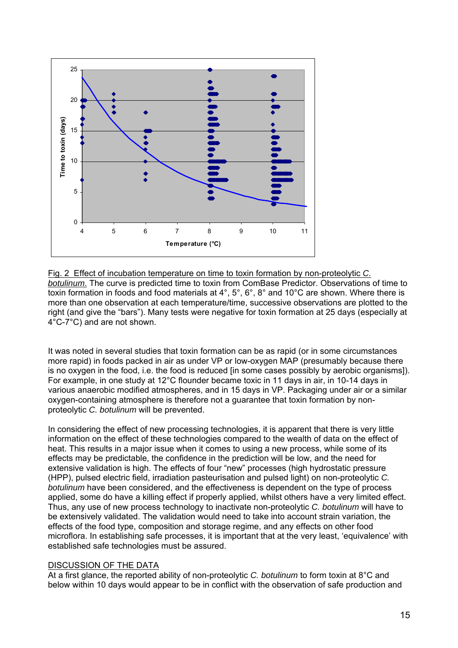

Fig. 2 Effect of incubation temperature on time to toxin formation by non-proteolytic *C. botulinum*. The curve is predicted time to toxin from ComBase Predictor. Observations of time to toxin formation in foods and food materials at 4°, 5°, 6°, 8° and 10°C are shown. Where there is more than one observation at each temperature/time, successive observations are plotted to the right (and give the "bars"). Many tests were negative for toxin formation at 25 days (especially at 4°C-7°C) and are not shown.

It was noted in several studies that toxin formation can be as rapid (or in some circumstances more rapid) in foods packed in air as under VP or low-oxygen MAP (presumably because there is no oxygen in the food, i.e. the food is reduced [in some cases possibly by aerobic organisms]). For example, in one study at 12°C flounder became toxic in 11 days in air, in 10-14 days in various anaerobic modified atmospheres, and in 15 days in VP. Packaging under air or a similar oxygen-containing atmosphere is therefore not a guarantee that toxin formation by nonproteolytic *C. botulinum* will be prevented.

In considering the effect of new processing technologies, it is apparent that there is very little information on the effect of these technologies compared to the wealth of data on the effect of heat. This results in a major issue when it comes to using a new process, while some of its effects may be predictable, the confidence in the prediction will be low, and the need for extensive validation is high. The effects of four "new" processes (high hydrostatic pressure (HPP), pulsed electric field, irradiation pasteurisation and pulsed light) on non-proteolytic *C. botulinum* have been considered, and the effectiveness is dependent on the type of process applied, some do have a killing effect if properly applied, whilst others have a very limited effect. Thus, any use of new process technology to inactivate non-proteolytic *C. botulinum* will have to be extensively validated. The validation would need to take into account strain variation, the effects of the food type, composition and storage regime, and any effects on other food microflora. In establishing safe processes, it is important that at the very least, 'equivalence' with established safe technologies must be assured.

#### DISCUSSION OF THE DATA

At a first glance, the reported ability of non-proteolytic *C. botulinum* to form toxin at 8°C and below within 10 days would appear to be in conflict with the observation of safe production and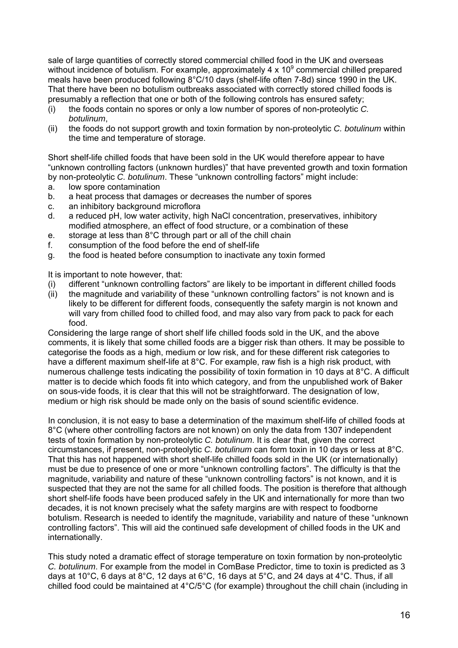sale of large quantities of correctly stored commercial chilled food in the UK and overseas without incidence of botulism. For example, approximately 4 x 10<sup>9</sup> commercial chilled prepared meals have been produced following 8°C/10 days (shelf-life often 7-8d) since 1990 in the UK. That there have been no botulism outbreaks associated with correctly stored chilled foods is presumably a reflection that one or both of the following controls has ensured safety;

- (i) the foods contain no spores or only a low number of spores of non-proteolytic *C. botulinum*,
- (ii) the foods do not support growth and toxin formation by non-proteolytic *C. botulinum* within the time and temperature of storage.

Short shelf-life chilled foods that have been sold in the UK would therefore appear to have "unknown controlling factors (unknown hurdles)" that have prevented growth and toxin formation by non-proteolytic *C. botulinum*. These "unknown controlling factors" might include:

- a. low spore contamination
- b. a heat process that damages or decreases the number of spores
- c. an inhibitory background microflora
- d. a reduced pH, low water activity, high NaCl concentration, preservatives, inhibitory modified atmosphere, an effect of food structure, or a combination of these
- e. storage at less than 8°C through part or all of the chill chain
- f. consumption of the food before the end of shelf-life
- g. the food is heated before consumption to inactivate any toxin formed

It is important to note however, that:

- (i) different "unknown controlling factors" are likely to be important in different chilled foods
- (ii) the magnitude and variability of these "unknown controlling factors" is not known and is likely to be different for different foods, consequently the safety margin is not known and will vary from chilled food to chilled food, and may also vary from pack to pack for each food.

Considering the large range of short shelf life chilled foods sold in the UK, and the above comments, it is likely that some chilled foods are a bigger risk than others. It may be possible to categorise the foods as a high, medium or low risk, and for these different risk categories to have a different maximum shelf-life at 8°C. For example, raw fish is a high risk product, with numerous challenge tests indicating the possibility of toxin formation in 10 days at 8°C. A difficult matter is to decide which foods fit into which category, and from the unpublished work of Baker on sous-vide foods, it is clear that this will not be straightforward. The designation of low, medium or high risk should be made only on the basis of sound scientific evidence.

In conclusion, it is not easy to base a determination of the maximum shelf-life of chilled foods at 8°C (where other controlling factors are not known) on only the data from 1307 independent tests of toxin formation by non-proteolytic *C. botulinum*. It is clear that, given the correct circumstances, if present, non-proteolytic *C. botulinum* can form toxin in 10 days or less at 8°C. That this has not happened with short shelf-life chilled foods sold in the UK (or internationally) must be due to presence of one or more "unknown controlling factors". The difficulty is that the magnitude, variability and nature of these "unknown controlling factors" is not known, and it is suspected that they are not the same for all chilled foods. The position is therefore that although short shelf-life foods have been produced safely in the UK and internationally for more than two decades, it is not known precisely what the safety margins are with respect to foodborne botulism. Research is needed to identify the magnitude, variability and nature of these "unknown controlling factors". This will aid the continued safe development of chilled foods in the UK and internationally.

This study noted a dramatic effect of storage temperature on toxin formation by non-proteolytic *C. botulinum*. For example from the model in ComBase Predictor, time to toxin is predicted as 3 days at 10°C, 6 days at 8°C, 12 days at 6°C, 16 days at 5°C, and 24 days at 4°C. Thus, if all chilled food could be maintained at 4°C/5°C (for example) throughout the chill chain (including in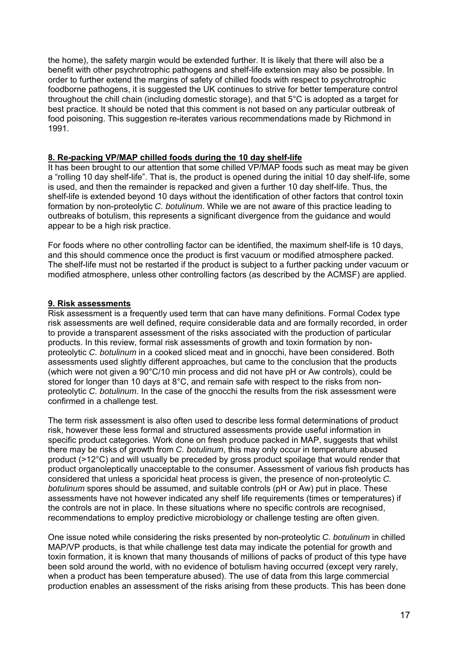the home), the safety margin would be extended further. It is likely that there will also be a benefit with other psychrotrophic pathogens and shelf-life extension may also be possible. In order to further extend the margins of safety of chilled foods with respect to psychrotrophic foodborne pathogens, it is suggested the UK continues to strive for better temperature control throughout the chill chain (including domestic storage), and that 5°C is adopted as a target for best practice. It should be noted that this comment is not based on any particular outbreak of food poisoning. This suggestion re-iterates various recommendations made by Richmond in 1991.

#### **8. Re-packing VP/MAP chilled foods during the 10 day shelf-life**

It has been brought to our attention that some chilled VP/MAP foods such as meat may be given a "rolling 10 day shelf-life". That is, the product is opened during the initial 10 day shelf-life, some is used, and then the remainder is repacked and given a further 10 day shelf-life. Thus, the shelf-life is extended beyond 10 days without the identification of other factors that control toxin formation by non-proteolytic *C. botulinum*. While we are not aware of this practice leading to outbreaks of botulism, this represents a significant divergence from the guidance and would appear to be a high risk practice.

For foods where no other controlling factor can be identified, the maximum shelf-life is 10 days, and this should commence once the product is first vacuum or modified atmosphere packed. The shelf-life must not be restarted if the product is subject to a further packing under vacuum or modified atmosphere, unless other controlling factors (as described by the ACMSF) are applied.

#### **9. Risk assessments**

Risk assessment is a frequently used term that can have many definitions. Formal Codex type risk assessments are well defined, require considerable data and are formally recorded, in order to provide a transparent assessment of the risks associated with the production of particular products. In this review, formal risk assessments of growth and toxin formation by nonproteolytic *C. botulinum* in a cooked sliced meat and in gnocchi, have been considered. Both assessments used slightly different approaches, but came to the conclusion that the products (which were not given a 90°C/10 min process and did not have pH or Aw controls), could be stored for longer than 10 days at 8°C, and remain safe with respect to the risks from nonproteolytic *C. botulinum*. In the case of the gnocchi the results from the risk assessment were confirmed in a challenge test.

The term risk assessment is also often used to describe less formal determinations of product risk, however these less formal and structured assessments provide useful information in specific product categories. Work done on fresh produce packed in MAP, suggests that whilst there may be risks of growth from *C. botulinum*, this may only occur in temperature abused product (>12°C) and will usually be preceded by gross product spoilage that would render that product organoleptically unacceptable to the consumer. Assessment of various fish products has considered that unless a sporicidal heat process is given, the presence of non-proteolytic *C. botulinum* spores should be assumed, and suitable controls (pH or Aw) put in place. These assessments have not however indicated any shelf life requirements (times or temperatures) if the controls are not in place. In these situations where no specific controls are recognised, recommendations to employ predictive microbiology or challenge testing are often given.

One issue noted while considering the risks presented by non-proteolytic *C. botulinum* in chilled MAP/VP products, is that while challenge test data may indicate the potential for growth and toxin formation, it is known that many thousands of millions of packs of product of this type have been sold around the world, with no evidence of botulism having occurred (except very rarely, when a product has been temperature abused). The use of data from this large commercial production enables an assessment of the risks arising from these products. This has been done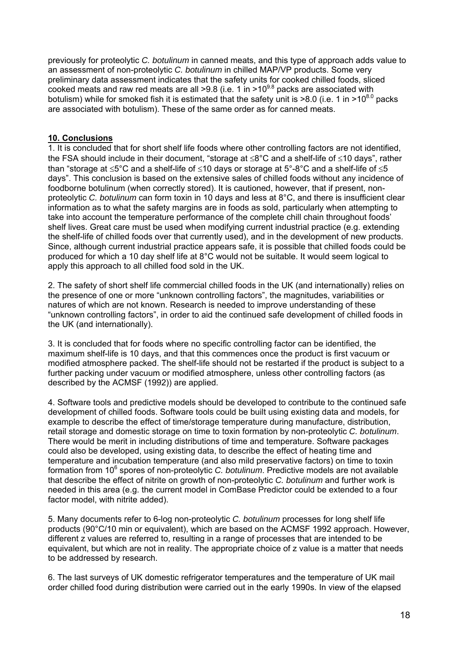previously for proteolytic *C. botulinum* in canned meats, and this type of approach adds value to an assessment of non-proteolytic *C. botulinum* in chilled MAP/VP products. Some very preliminary data assessment indicates that the safety units for cooked chilled foods, sliced cooked meats and raw red meats are all  $>9.8$  (i.e. 1 in  $>10^{9.8}$  packs are associated with botulism) while for smoked fish it is estimated that the safety unit is  $>8.0$  (i.e. 1 in  $>10^{8.0}$  packs are associated with botulism). These of the same order as for canned meats.

### **10. Conclusions**

1. It is concluded that for short shelf life foods where other controlling factors are not identified, the FSA should include in their document, "storage at ≤8°C and a shelf-life of ≤10 days", rather than "storage at ≤5°C and a shelf-life of ≤10 days or storage at 5°-8°C and a shelf-life of ≤5 days". This conclusion is based on the extensive sales of chilled foods without any incidence of foodborne botulinum (when correctly stored). It is cautioned, however, that if present, nonproteolytic *C. botulinum* can form toxin in 10 days and less at 8°C, and there is insufficient clear information as to what the safety margins are in foods as sold, particularly when attempting to take into account the temperature performance of the complete chill chain throughout foods' shelf lives. Great care must be used when modifying current industrial practice (e.g. extending the shelf-life of chilled foods over that currently used), and in the development of new products. Since, although current industrial practice appears safe, it is possible that chilled foods could be produced for which a 10 day shelf life at 8°C would not be suitable. It would seem logical to apply this approach to all chilled food sold in the UK.

2. The safety of short shelf life commercial chilled foods in the UK (and internationally) relies on the presence of one or more "unknown controlling factors", the magnitudes, variabilities or natures of which are not known. Research is needed to improve understanding of these "unknown controlling factors", in order to aid the continued safe development of chilled foods in the UK (and internationally).

3. It is concluded that for foods where no specific controlling factor can be identified, the maximum shelf-life is 10 days, and that this commences once the product is first vacuum or modified atmosphere packed. The shelf-life should not be restarted if the product is subject to a further packing under vacuum or modified atmosphere, unless other controlling factors (as described by the ACMSF (1992)) are applied.

4. Software tools and predictive models should be developed to contribute to the continued safe development of chilled foods. Software tools could be built using existing data and models, for example to describe the effect of time/storage temperature during manufacture, distribution, retail storage and domestic storage on time to toxin formation by non-proteolytic *C. botulinum*. There would be merit in including distributions of time and temperature. Software packages could also be developed, using existing data, to describe the effect of heating time and temperature and incubation temperature (and also mild preservative factors) on time to toxin formation from 10<sup>6</sup> spores of non-proteolytic *C. botulinum*. Predictive models are not available that describe the effect of nitrite on growth of non-proteolytic *C. botulinum* and further work is needed in this area (e.g. the current model in ComBase Predictor could be extended to a four factor model, with nitrite added).

5. Many documents refer to 6-log non-proteolytic *C. botulinum* processes for long shelf life products (90°C/10 min or equivalent), which are based on the ACMSF 1992 approach. However, different z values are referred to, resulting in a range of processes that are intended to be equivalent, but which are not in reality. The appropriate choice of z value is a matter that needs to be addressed by research.

6. The last surveys of UK domestic refrigerator temperatures and the temperature of UK mail order chilled food during distribution were carried out in the early 1990s. In view of the elapsed